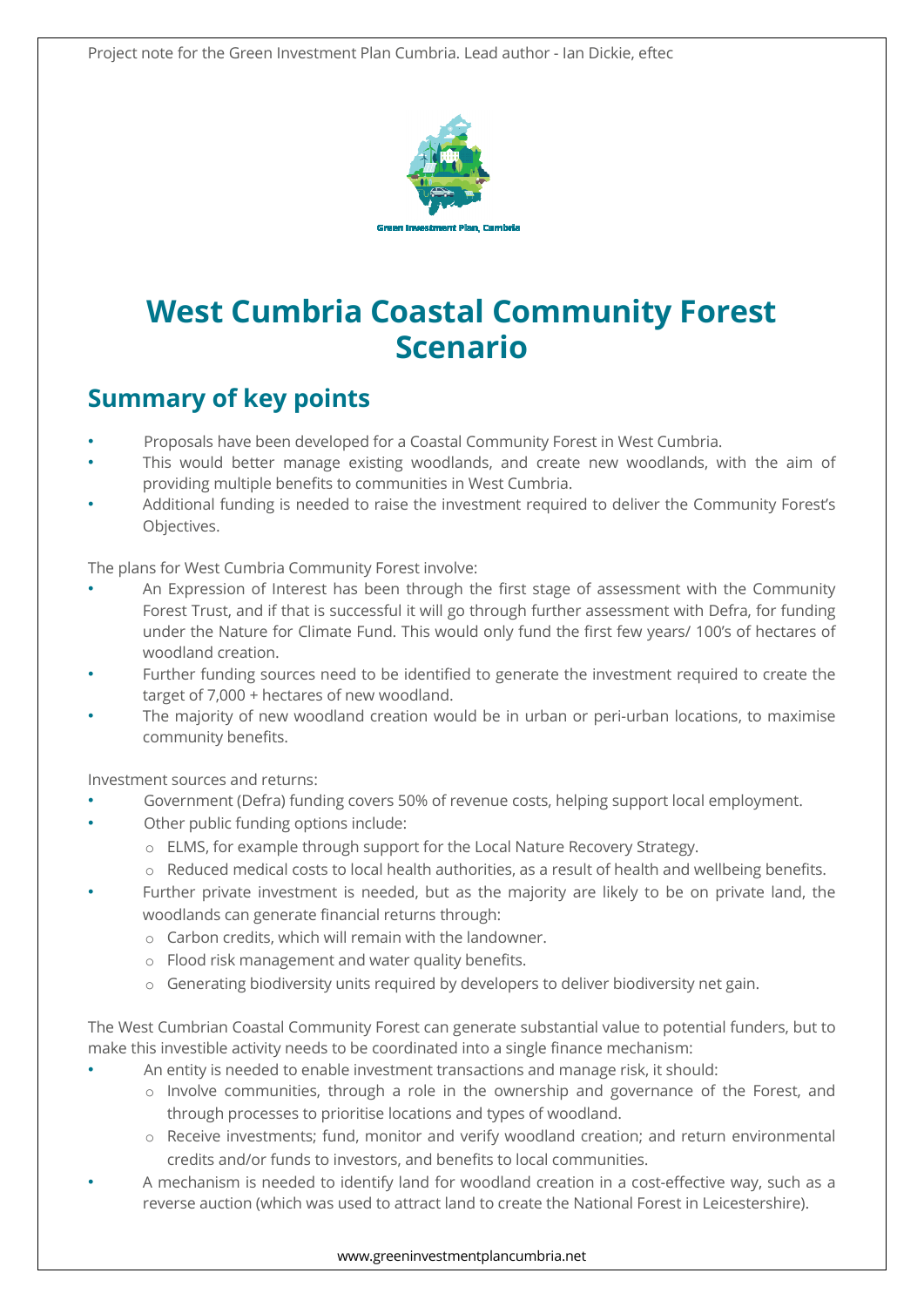

# **West Cumbria Coastal Community Forest Scenario**

#### **Summary of key points**

- Proposals have been developed for a Coastal Community Forest in West Cumbria.
- This would better manage existing woodlands, and create new woodlands, with the aim of providing multiple benefits to communities in West Cumbria.
- Additional funding is needed to raise the investment required to deliver the Community Forest's Objectives.

The plans for West Cumbria Community Forest involve:

- An Expression of Interest has been through the first stage of assessment with the Community Forest Trust, and if that is successful it will go through further assessment with Defra, for funding under the Nature for Climate Fund. This would only fund the first few years/ 100's of hectares of woodland creation.
- Further funding sources need to be identified to generate the investment required to create the target of 7,000 + hectares of new woodland.
- The majority of new woodland creation would be in urban or peri-urban locations, to maximise community benefits.

Investment sources and returns:

- Government (Defra) funding covers 50% of revenue costs, helping support local employment.
- Other public funding options include:
	- o ELMS, for example through support for the Local Nature Recovery Strategy.
	- $\circ$  Reduced medical costs to local health authorities, as a result of health and wellbeing benefits.
- Further private investment is needed, but as the majority are likely to be on private land, the woodlands can generate financial returns through:
	- o Carbon credits, which will remain with the landowner.
	- o Flood risk management and water quality benefits.
	- o Generating biodiversity units required by developers to deliver biodiversity net gain.

The West Cumbrian Coastal Community Forest can generate substantial value to potential funders, but to make this investible activity needs to be coordinated into a single finance mechanism:

- An entity is needed to enable investment transactions and manage risk, it should:
	- o Involve communities, through a role in the ownership and governance of the Forest, and through processes to prioritise locations and types of woodland.
	- o Receive investments; fund, monitor and verify woodland creation; and return environmental credits and/or funds to investors, and benefits to local communities.
- A mechanism is needed to identify land for woodland creation in a cost-effective way, such as a reverse auction (which was used to attract land to create the National Forest in Leicestershire).

#### www.greeninvestmentplancumbria.net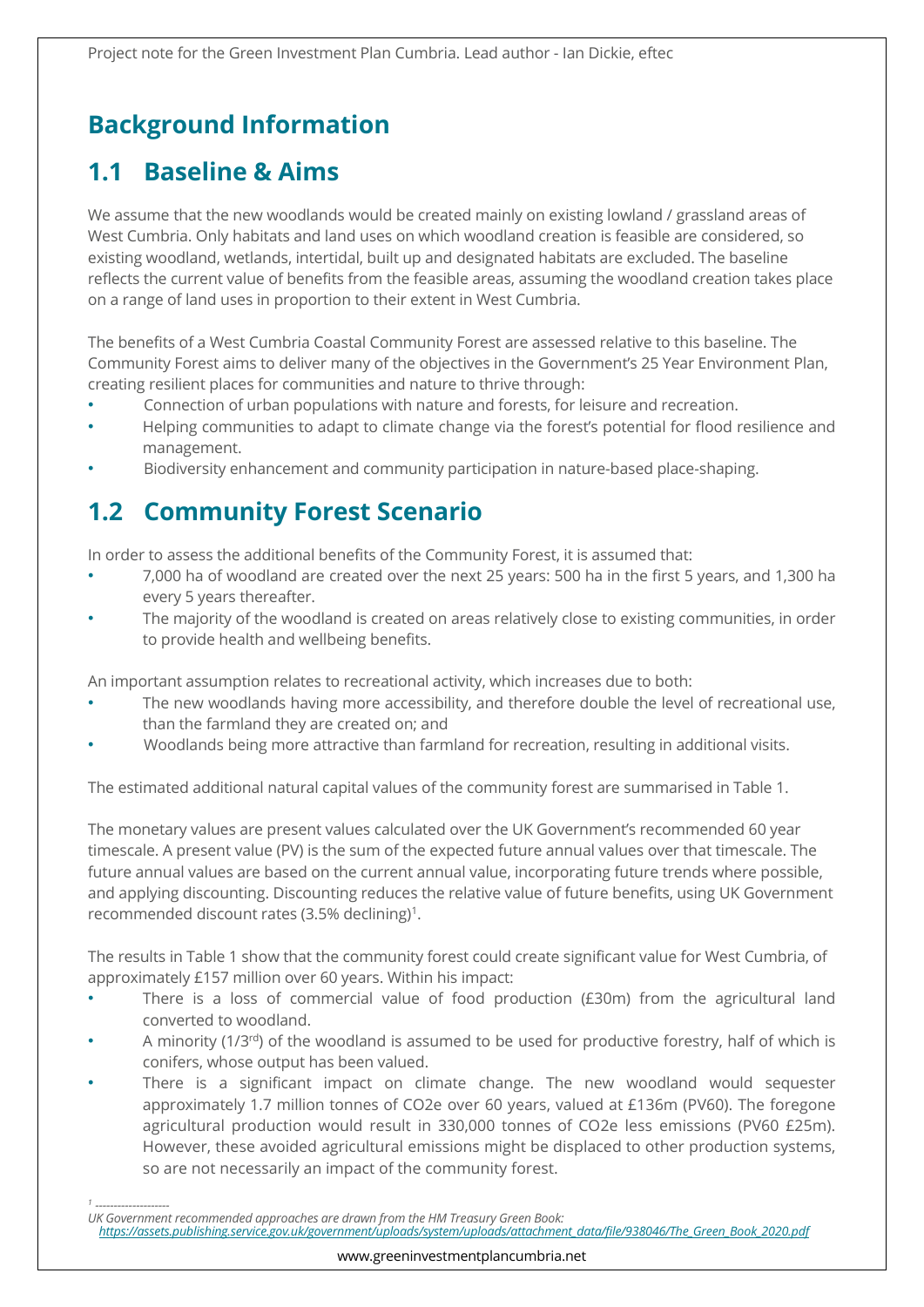## **Background Information**

#### **1.1 Baseline & Aims**

We assume that the new woodlands would be created mainly on existing lowland / grassland areas of West Cumbria. Only habitats and land uses on which woodland creation is feasible are considered, so existing woodland, wetlands, intertidal, built up and designated habitats are excluded. The baseline reflects the current value of benefits from the feasible areas, assuming the woodland creation takes place on a range of land uses in proportion to their extent in West Cumbria.

The benefits of a West Cumbria Coastal Community Forest are assessed relative to this baseline. The Community Forest aims to deliver many of the objectives in the Government's 25 Year Environment Plan, creating resilient places for communities and nature to thrive through:

- Connection of urban populations with nature and forests, for leisure and recreation.
- Helping communities to adapt to climate change via the forest's potential for flood resilience and management.
- Biodiversity enhancement and community participation in nature-based place-shaping.

### **1.2 Community Forest Scenario**

In order to assess the additional benefits of the Community Forest, it is assumed that:

- 7,000 ha of woodland are created over the next 25 years: 500 ha in the first 5 years, and 1,300 ha every 5 years thereafter.
- The majority of the woodland is created on areas relatively close to existing communities, in order to provide health and wellbeing benefits.

An important assumption relates to recreational activity, which increases due to both:

- The new woodlands having more accessibility, and therefore double the level of recreational use, than the farmland they are created on; and
- Woodlands being more attractive than farmland for recreation, resulting in additional visits.

The estimated additional natural capital values of the community forest are summarised in Table 1.

The monetary values are present values calculated over the UK Government's recommended 60 year timescale. A present value (PV) is the sum of the expected future annual values over that timescale. The future annual values are based on the current annual value, incorporating future trends where possible, and applying discounting. Discounting reduces the relative value of future benefits, using UK Government recommended discount rates (3.5% declining)<sup>1</sup>.

The results in Table 1 show that the community forest could create significant value for West Cumbria, of approximately £157 million over 60 years. Within his impact:

- There is a loss of commercial value of food production  $(£30m)$  from the agricultural land converted to woodland.
- A minority (1/3<sup>rd</sup>) of the woodland is assumed to be used for productive forestry, half of which is conifers, whose output has been valued.
- There is a significant impact on climate change. The new woodland would sequester approximately 1.7 million tonnes of CO2e over 60 years, valued at £136m (PV60). The foregone agricultural production would result in 330,000 tonnes of CO2e less emissions (PV60 £25m). However, these avoided agricultural emissions might be displaced to other production systems, so are not necessarily an impact of the community forest.

*1*

 *<sup>--------------------</sup>  UK Government recommended approaches are drawn from the HM Treasury Green Book:* 

*https://assets.publishing.service.gov.uk/government/uploads/system/uploads/attachment\_data/file/938046/The\_Green\_Book\_2020.pdf*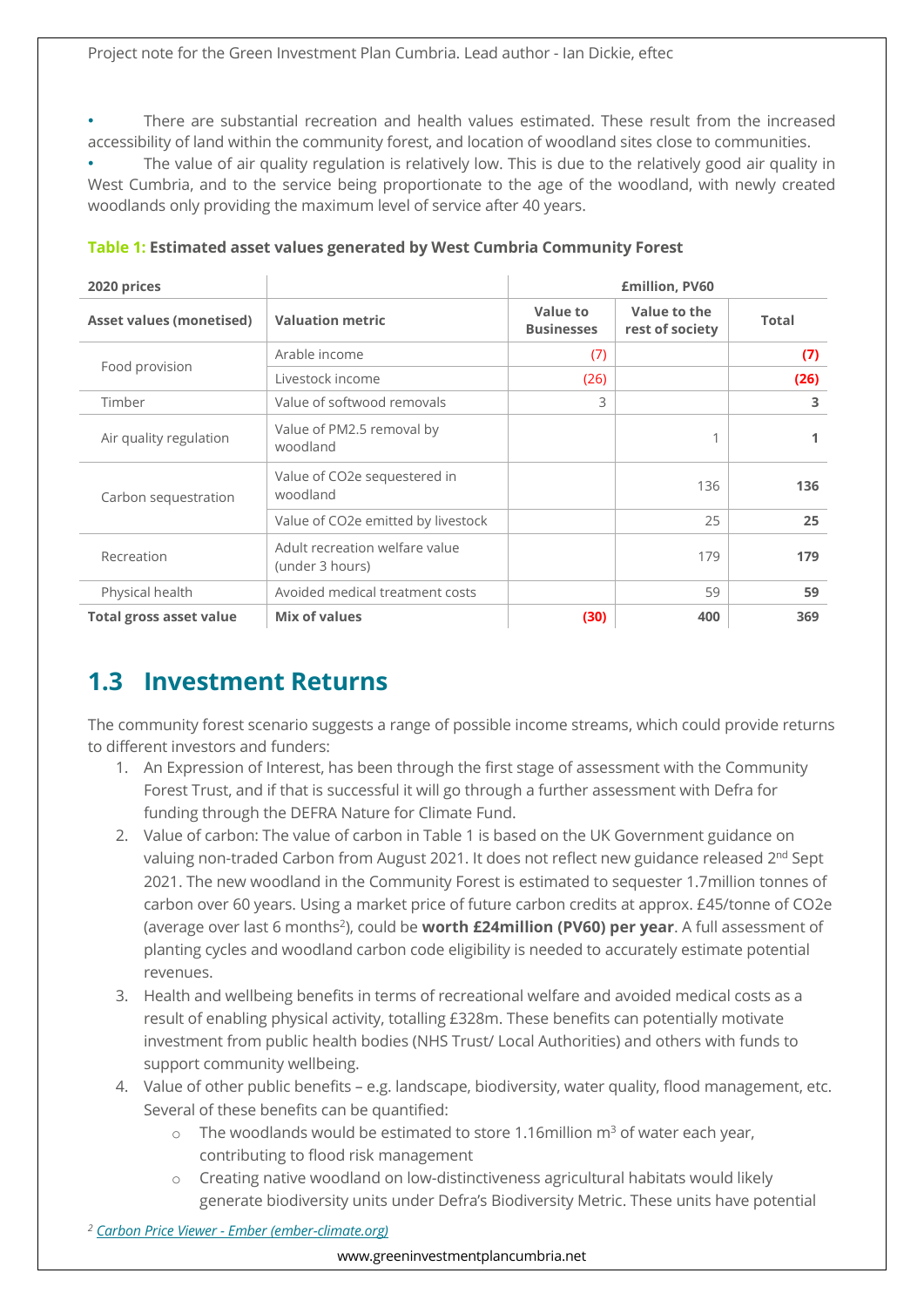• There are substantial recreation and health values estimated. These result from the increased accessibility of land within the community forest, and location of woodland sites close to communities.

The value of air quality regulation is relatively low. This is due to the relatively good air quality in West Cumbria, and to the service being proportionate to the age of the woodland, with newly created woodlands only providing the maximum level of service after 40 years.

| 2020 prices                     |                                                   | <b>£million, PV60</b>         |                                 |              |
|---------------------------------|---------------------------------------------------|-------------------------------|---------------------------------|--------------|
| <b>Asset values (monetised)</b> | <b>Valuation metric</b>                           | Value to<br><b>Businesses</b> | Value to the<br>rest of society | <b>Total</b> |
| Food provision                  | Arable income                                     | (7)                           |                                 | (7)          |
|                                 | Livestock income                                  | (26)                          |                                 | (26)         |
| Timber                          | Value of softwood removals                        | 3                             |                                 | 3            |
| Air quality regulation          | Value of PM2.5 removal by<br>woodland             |                               |                                 |              |
| Carbon sequestration            | Value of CO2e sequestered in<br>woodland          |                               | 136                             | 136          |
|                                 | Value of CO2e emitted by livestock                |                               | 25                              | 25           |
| Recreation                      | Adult recreation welfare value<br>(under 3 hours) |                               | 179                             | 179          |
| Physical health                 | Avoided medical treatment costs                   |                               | 59                              | 59           |
| <b>Total gross asset value</b>  | Mix of values                                     | (30)                          | 400                             | 369          |

**Table 1: Estimated asset values generated by West Cumbria Community Forest**

#### **1.3 Investment Returns**

The community forest scenario suggests a range of possible income streams, which could provide returns to different investors and funders:

- 1. An Expression of Interest, has been through the first stage of assessment with the Community Forest Trust, and if that is successful it will go through a further assessment with Defra for funding through the DEFRA Nature for Climate Fund.
- 2. Value of carbon: The value of carbon in Table 1 is based on the UK Government guidance on valuing non-traded Carbon from August 2021. It does not reflect new guidance released 2<sup>nd</sup> Sept 2021. The new woodland in the Community Forest is estimated to sequester 1.7million tonnes of carbon over 60 years. Using a market price of future carbon credits at approx. £45/tonne of CO2e (average over last 6 months<sup>2</sup>), could be **worth £24million (PV60) per year**. A full assessment of planting cycles and woodland carbon code eligibility is needed to accurately estimate potential revenues.
- 3. Health and wellbeing benefits in terms of recreational welfare and avoided medical costs as a result of enabling physical activity, totalling £328m. These benefits can potentially motivate investment from public health bodies (NHS Trust/ Local Authorities) and others with funds to support community wellbeing.
- 4. Value of other public benefits e.g. landscape, biodiversity, water quality, flood management, etc. Several of these benefits can be quantified:
	- $\circ$  The woodlands would be estimated to store 1.16million  $m^3$  of water each year, contributing to flood risk management
	- o Creating native woodland on low-distinctiveness agricultural habitats would likely generate biodiversity units under Defra's Biodiversity Metric. These units have potential

*<sup>2</sup> Carbon Price Viewer - Ember (ember-climate.org)*